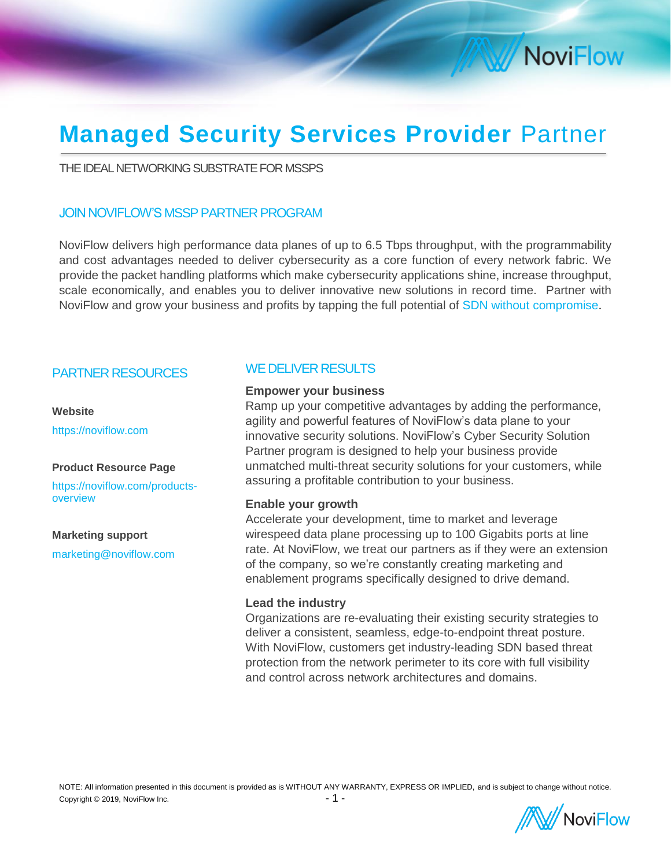

# **Managed Security Services Provider** Partner

THE IDEAL NETWORKING SUBSTRATE FOR MSSPS

### JOIN NOVIFLOW'S MSSPPARTNER PROGRAM

NoviFlow delivers high performance data planes of up to 6.5 Tbps throughput, with the programmability and cost advantages needed to deliver cybersecurity as a core function of every network fabric. We provide the packet handling platforms which make cybersecurity applications shine, increase throughput, scale economically, and enables you to deliver innovative new solutions in record time. Partner with NoviFlow and grow your business and profits by tapping the full potential of SDN without compromise.

### PARTNER RESOURCES

#### **Website**

https://noviflow.com

#### **Product Resource Page**

https://noviflow.com/productsoverview

**Marketing support** marketing@noviflow.com

### WE DELIVER RESULTS

#### **Empower your business**

Ramp up your competitive advantages by adding the performance, agility and powerful features of NoviFlow's data plane to your innovative security solutions. NoviFlow's Cyber Security Solution Partner program is designed to help your business provide unmatched multi-threat security solutions for your customers, while assuring a profitable contribution to your business.

#### **Enable your growth**

Accelerate your development, time to market and leverage wirespeed data plane processing up to 100 Gigabits ports at line rate. At NoviFlow, we treat our partners as if they were an extension of the company, so we're constantly creating marketing and enablement programs specifically designed to drive demand.

#### **Lead the industry**

Organizations are re-evaluating their existing security strategies to deliver a consistent, seamless, edge-to-endpoint threat posture. With NoviFlow, customers get industry-leading SDN based threat protection from the network perimeter to its core with full visibility and control across network architectures and domains.

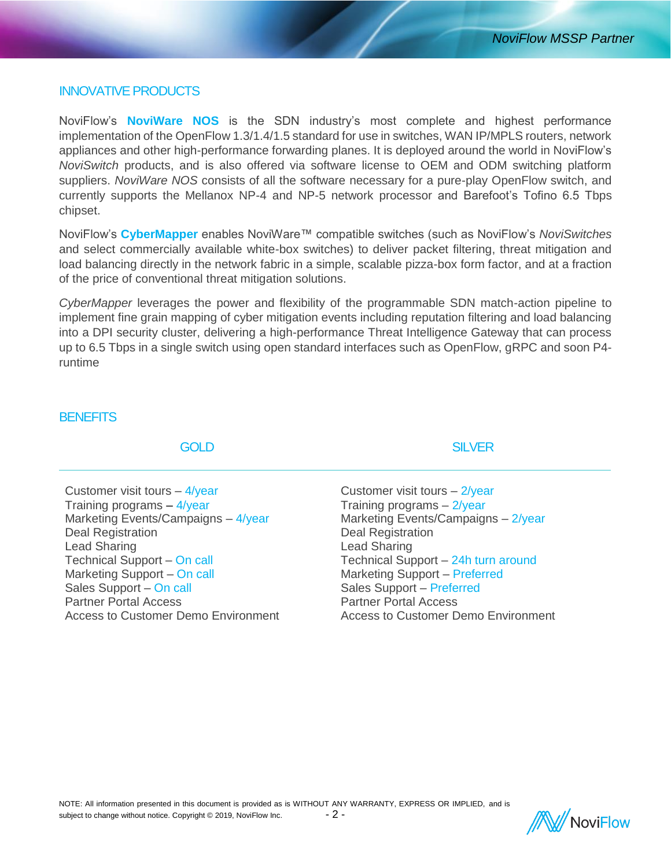### INNOVATIVE PRODUCTS

NoviFlow's **NoviWare NOS** is the SDN industry's most complete and highest performance implementation of the OpenFlow 1.3/1.4/1.5 standard for use in switches, WAN IP/MPLS routers, network appliances and other high-performance forwarding planes. It is deployed around the world in NoviFlow's *NoviSwitch* products, and is also offered via software license to OEM and ODM switching platform suppliers. *NoviWare NOS* consists of all the software necessary for a pure-play OpenFlow switch, and currently supports the Mellanox NP-4 and NP-5 network processor and Barefoot's Tofino 6.5 Tbps chipset.

NoviFlow's **CyberMapper** enables NoviWare™ compatible switches (such as NoviFlow's *NoviSwitches*  and select commercially available white-box switches) to deliver packet filtering, threat mitigation and load balancing directly in the network fabric in a simple, scalable pizza-box form factor, and at a fraction of the price of conventional threat mitigation solutions.

*CyberMapper* leverages the power and flexibility of the programmable SDN match-action pipeline to implement fine grain mapping of cyber mitigation events including reputation filtering and load balancing into a DPI security cluster, delivering a high-performance Threat Intelligence Gateway that can process up to 6.5 Tbps in a single switch using open standard interfaces such as OpenFlow, gRPC and soon P4 runtime

### **BENEFITS**

| Customer visit tours $-4$ /year            |
|--------------------------------------------|
| Training programs - 4/year                 |
| Marketing Events/Campaigns - 4/year        |
| <b>Deal Registration</b>                   |
| <b>Lead Sharing</b>                        |
| Technical Support - On call                |
| Marketing Support - On call                |
| Sales Support - On call                    |
| <b>Partner Portal Access</b>               |
| <b>Access to Customer Demo Environment</b> |

Customer visit tours – 2/year Training programs – 2/year Marketing Events/Campaigns – 2/year Deal Registration Lead Sharing Technical Support – 24h turn around Marketing Support – Preferred Sales Support – Preferred Partner Portal Access Access to Customer Demo Environment



GOLD SILVER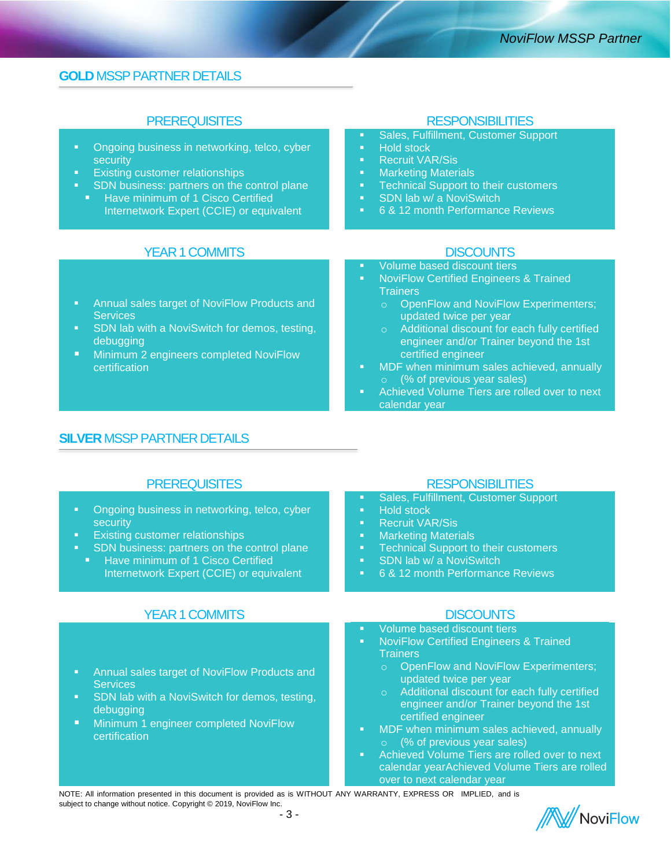### **GOLD MSSP PARTNER DETAILS**

- Ongoing business in networking, telco, cyber security
- **Existing customer relationships**
- **SDN** business: partners on the control plane
	- Have minimum of 1 Cisco Certified Internetwork Expert (CCIE) or equivalent

## **YEAR 1 COMMITS** DISCOUNTS

- Annual sales target of NoviFlow Products and **Services**
- SDN lab with a NoviSwitch for demos, testing, debugging
- Minimum 2 engineers completed NoviFlow certification

### PREREQUISITES RESPONSIBILITIES

- Sales, Fulfillment, Customer Support
- **Hold stock**

▪

▪

▪

▪

- Recruit VAR/Sis
- Marketing Materials
- **EXEC** Technical Support to their customers
- **SDN lab w/ a NoviSwitch**
- 6 & 12 month Performance Reviews

- Volume based discount tiers **NoviFlow Certified Engineers & Trained Trainers** 
	- o OpenFlow and NoviFlow Experimenters; updated twice per year
	- o Additional discount for each fully certified engineer and/or Trainer beyond the 1st certified engineer
- MDF when minimum sales achieved, annually (% of previous year sales)
- Achieved Volume Tiers are rolled over to next calendar year

# **SILVER MSSP PARTNER DETAILS**

- Ongoing business in networking, telco, cyber security
- **Existing customer relationships**
- SDN business: partners on the control plane
	- Have minimum of 1 Cisco Certified Internetwork Expert (CCIE) or equivalent

# **YEAR 1 COMMITS** DISCOUNTS

- Annual sales target of NoviFlow Products and **Services**
- SDN lab with a NoviSwitch for demos, testing, debugging
- Minimum 1 engineer completed NoviFlow certification

### PREREQUISITES RESPONSIBILITIES

- Sales, Fulfillment, Customer Support
- Hold stock
- **Recruit VAR/Sis**
- **Marketing Materials**
- **•** Technical Support to their customers
- **SDN lab w/ a NoviSwitch**
- 6 & 12 month Performance Reviews

- Volume based discount tiers
- NoviFlow Certified Engineers & Trained **Trainers** 
	- o OpenFlow and NoviFlow Experimenters; updated twice per year
	- o Additional discount for each fully certified engineer and/or Trainer beyond the 1st certified engineer
- **■** MDF when minimum sales achieved, annually o (% of previous year sales)
- Achieved Volume Tiers are rolled over to next calendar yearAchieved Volume Tiers are rolled over to next calendar year

NOTE: All information presented in this document is provided as is WITHOUT ANY WARRANTY, EXPRESS OR IMPLIED, and is subject to change without notice. Copyright © 2019, NoviFlow Inc.